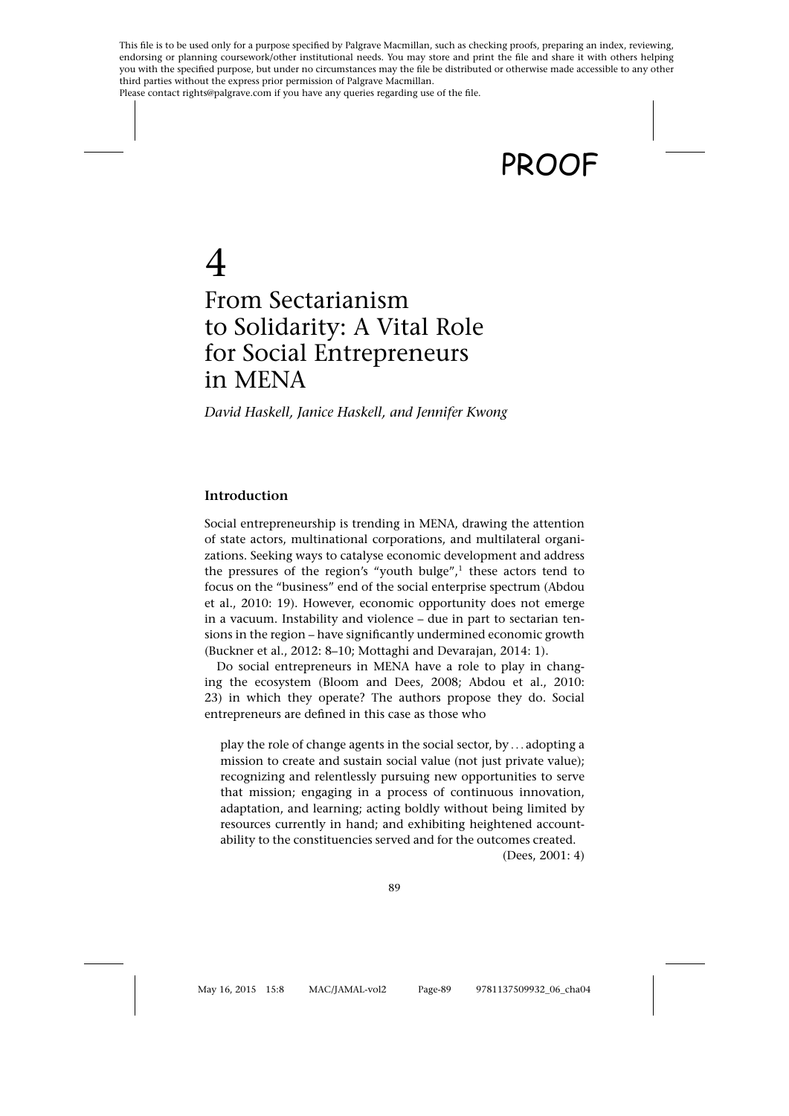This file is to be used only for a purpose specified by Palgrave Macmillan, such as checking proofs, preparing an index, reviewing, endorsing or planning coursework/other institutional needs. You may store and print the file and share it with others helping you with the specified purpose, but under no circumstances may the file be distributed or otherwise made accessible to any other third parties without the express prior permission of Palgrave Macmillan.

Please contact rights@palgrave.com if you have any queries regarding use of the file.

# PROOF

### 4 From Sectarianism to Solidarity: A Vital Role for Social Entrepreneurs in MENA

*David Haskell, Janice Haskell, and Jennifer Kwong*

### **Introduction**

Social entrepreneurship is trending in MENA, drawing the attention of state actors, multinational corporations, and multilateral organizations. Seeking ways to catalyse economic development and address the pressures of the region's "youth bulge", $1$  these actors tend to focus on the "business" end of the social enterprise spectrum (Abdou et al., 2010: 19). However, economic opportunity does not emerge in a vacuum. Instability and violence – due in part to sectarian tensions in the region – have significantly undermined economic growth (Buckner et al., 2012: 8–10; Mottaghi and Devarajan, 2014: 1).

Do social entrepreneurs in MENA have a role to play in changing the ecosystem (Bloom and Dees, 2008; Abdou et al., 2010: 23) in which they operate? The authors propose they do. Social entrepreneurs are defined in this case as those who

play the role of change agents in the social sector, by *...* adopting a mission to create and sustain social value (not just private value); recognizing and relentlessly pursuing new opportunities to serve that mission; engaging in a process of continuous innovation, adaptation, and learning; acting boldly without being limited by resources currently in hand; and exhibiting heightened accountability to the constituencies served and for the outcomes created.

(Dees, 2001: 4)

89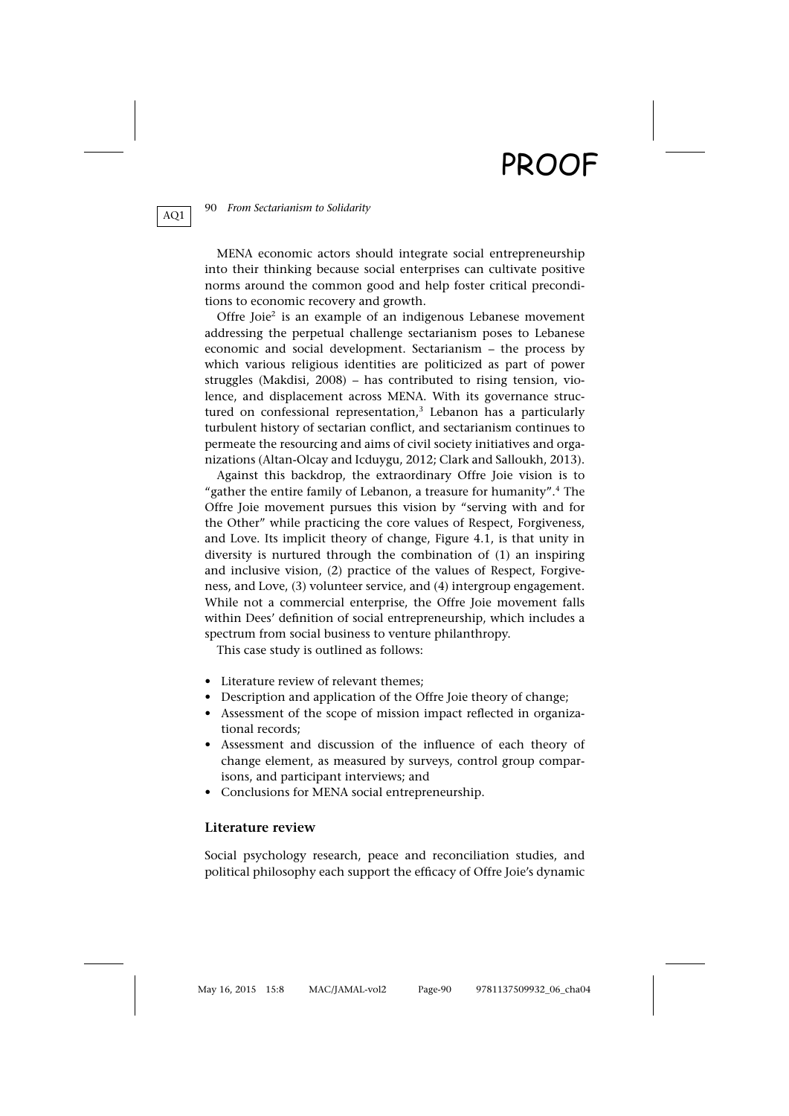#### 90 *From Sectarianism to Solidarity*

MENA economic actors should integrate social entrepreneurship into their thinking because social enterprises can cultivate positive norms around the common good and help foster critical preconditions to economic recovery and growth.

Offre Joie<sup>2</sup> is an example of an indigenous Lebanese movement addressing the perpetual challenge sectarianism poses to Lebanese economic and social development. Sectarianism – the process by which various religious identities are politicized as part of power struggles (Makdisi, 2008) – has contributed to rising tension, violence, and displacement across MENA. With its governance structured on confessional representation, $3$  Lebanon has a particularly turbulent history of sectarian conflict, and sectarianism continues to permeate the resourcing and aims of civil society initiatives and organizations (Altan-Olcay and Icduygu, 2012; Clark and Salloukh, 2013).

Against this backdrop, the extraordinary Offre Joie vision is to "gather the entire family of Lebanon, a treasure for humanity".<sup>4</sup> The Offre Joie movement pursues this vision by "serving with and for the Other" while practicing the core values of Respect, Forgiveness, and Love. Its implicit theory of change, Figure 4.1, is that unity in diversity is nurtured through the combination of (1) an inspiring and inclusive vision, (2) practice of the values of Respect, Forgiveness, and Love, (3) volunteer service, and (4) intergroup engagement. While not a commercial enterprise, the Offre Joie movement falls within Dees' definition of social entrepreneurship, which includes a spectrum from social business to venture philanthropy.

This case study is outlined as follows:

- Literature review of relevant themes;
- Description and application of the Offre Joie theory of change;
- Assessment of the scope of mission impact reflected in organizational records;
- Assessment and discussion of the influence of each theory of change element, as measured by surveys, control group comparisons, and participant interviews; and
- Conclusions for MENA social entrepreneurship.

#### **Literature review**

Social psychology research, peace and reconciliation studies, and political philosophy each support the efficacy of Offre Joie's dynamic

AQ1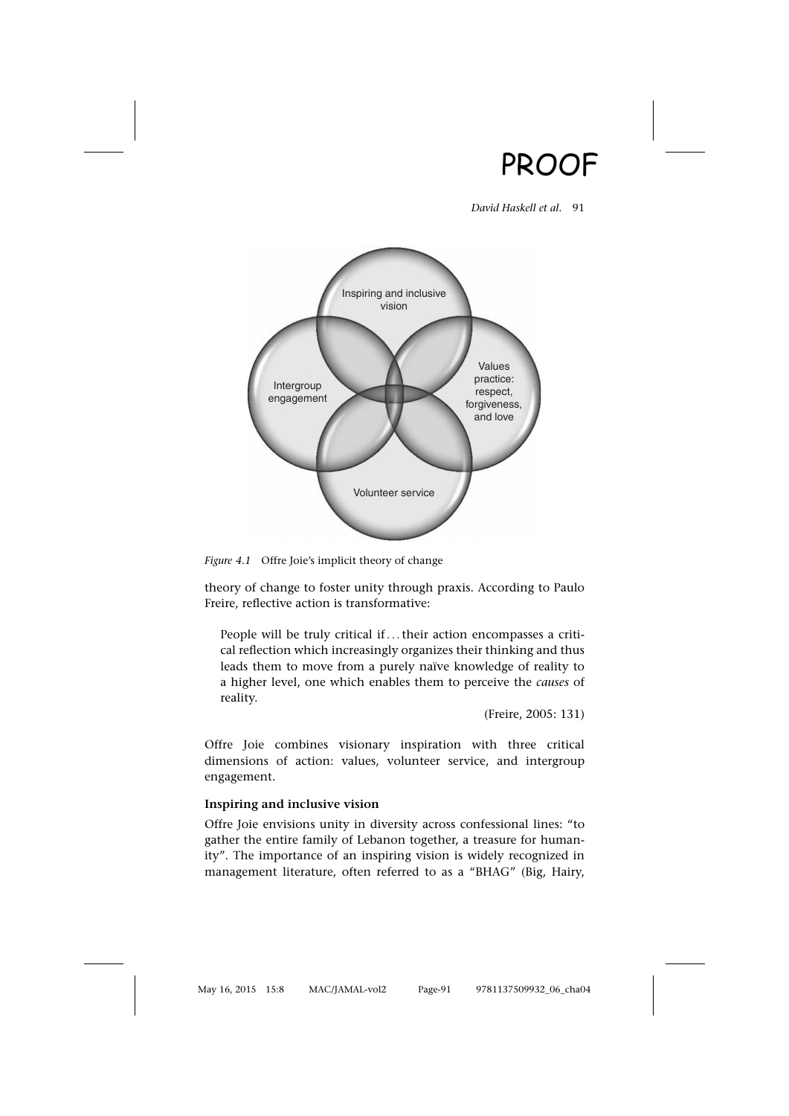*David Haskell et al.* 91



*Figure 4.1* Offre Joie's implicit theory of change

theory of change to foster unity through praxis. According to Paulo Freire, reflective action is transformative:

People will be truly critical if*...*their action encompasses a critical reflection which increasingly organizes their thinking and thus leads them to move from a purely naïve knowledge of reality to a higher level, one which enables them to perceive the *causes* of reality.

(Freire, 2005: 131)

Offre Joie combines visionary inspiration with three critical dimensions of action: values, volunteer service, and intergroup engagement.

### **Inspiring and inclusive vision**

Offre Joie envisions unity in diversity across confessional lines: "to gather the entire family of Lebanon together, a treasure for humanity". The importance of an inspiring vision is widely recognized in management literature, often referred to as a "BHAG" (Big, Hairy,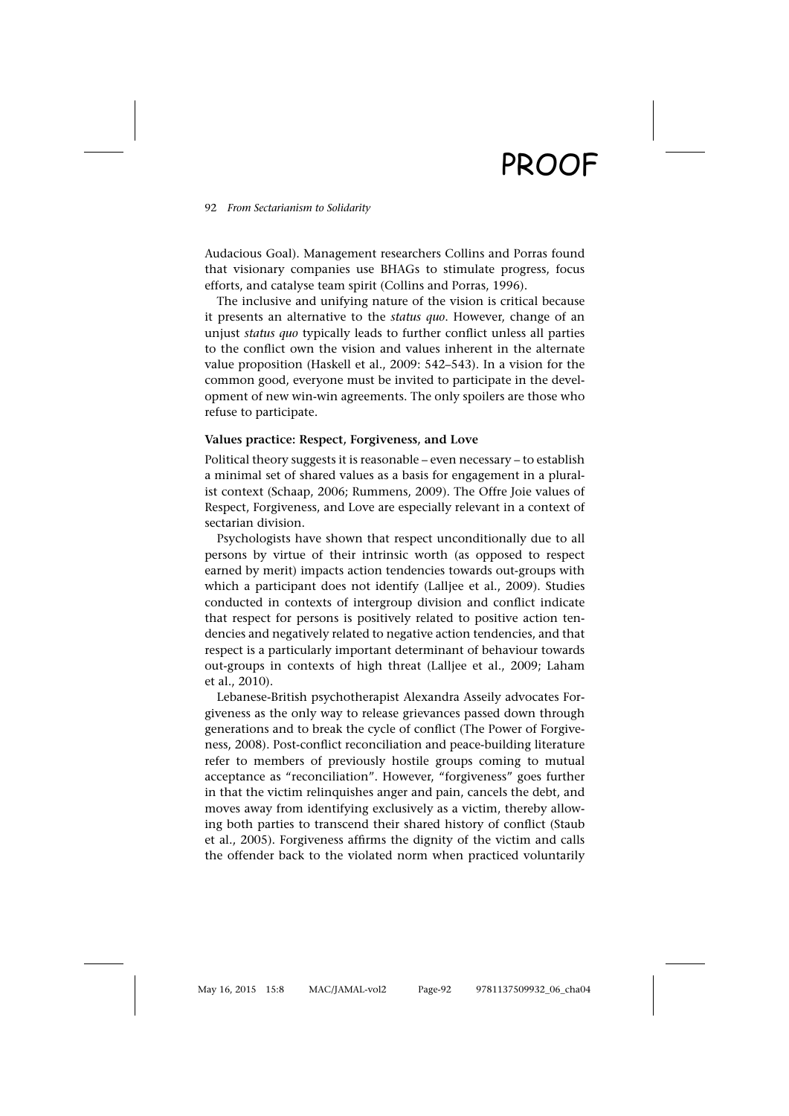#### 92 *From Sectarianism to Solidarity*

Audacious Goal). Management researchers Collins and Porras found that visionary companies use BHAGs to stimulate progress, focus efforts, and catalyse team spirit (Collins and Porras, 1996).

The inclusive and unifying nature of the vision is critical because it presents an alternative to the *status quo*. However, change of an unjust *status quo* typically leads to further conflict unless all parties to the conflict own the vision and values inherent in the alternate value proposition (Haskell et al., 2009: 542–543). In a vision for the common good, everyone must be invited to participate in the development of new win-win agreements. The only spoilers are those who refuse to participate.

#### **Values practice: Respect, Forgiveness, and Love**

Political theory suggests it is reasonable – even necessary – to establish a minimal set of shared values as a basis for engagement in a pluralist context (Schaap, 2006; Rummens, 2009). The Offre Joie values of Respect, Forgiveness, and Love are especially relevant in a context of sectarian division.

Psychologists have shown that respect unconditionally due to all persons by virtue of their intrinsic worth (as opposed to respect earned by merit) impacts action tendencies towards out-groups with which a participant does not identify (Lalljee et al., 2009). Studies conducted in contexts of intergroup division and conflict indicate that respect for persons is positively related to positive action tendencies and negatively related to negative action tendencies, and that respect is a particularly important determinant of behaviour towards out-groups in contexts of high threat (Lalljee et al., 2009; Laham et al., 2010).

Lebanese-British psychotherapist Alexandra Asseily advocates Forgiveness as the only way to release grievances passed down through generations and to break the cycle of conflict (The Power of Forgiveness, 2008). Post-conflict reconciliation and peace-building literature refer to members of previously hostile groups coming to mutual acceptance as "reconciliation". However, "forgiveness" goes further in that the victim relinquishes anger and pain, cancels the debt, and moves away from identifying exclusively as a victim, thereby allowing both parties to transcend their shared history of conflict (Staub et al., 2005). Forgiveness affirms the dignity of the victim and calls the offender back to the violated norm when practiced voluntarily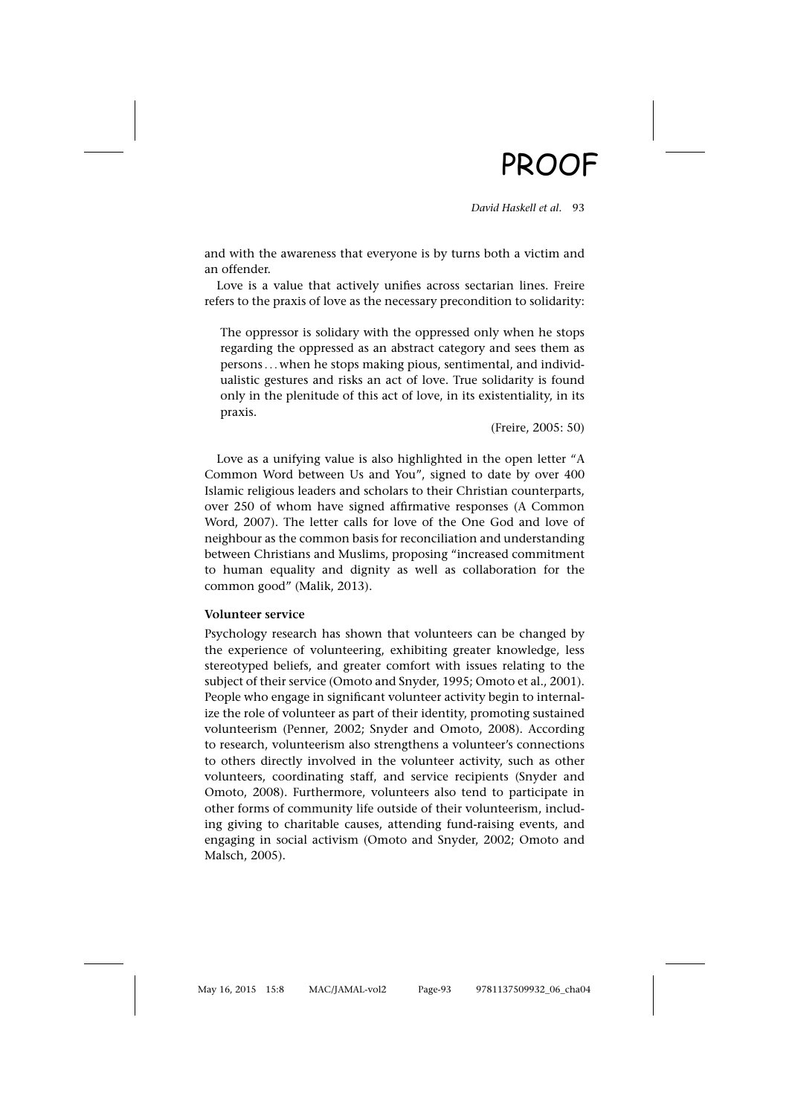*David Haskell et al.* 93

and with the awareness that everyone is by turns both a victim and an offender.

Love is a value that actively unifies across sectarian lines. Freire refers to the praxis of love as the necessary precondition to solidarity:

The oppressor is solidary with the oppressed only when he stops regarding the oppressed as an abstract category and sees them as persons *...* when he stops making pious, sentimental, and individualistic gestures and risks an act of love. True solidarity is found only in the plenitude of this act of love, in its existentiality, in its praxis.

(Freire, 2005: 50)

Love as a unifying value is also highlighted in the open letter "A Common Word between Us and You", signed to date by over 400 Islamic religious leaders and scholars to their Christian counterparts, over 250 of whom have signed affirmative responses (A Common Word, 2007). The letter calls for love of the One God and love of neighbour as the common basis for reconciliation and understanding between Christians and Muslims, proposing "increased commitment to human equality and dignity as well as collaboration for the common good" (Malik, 2013).

#### **Volunteer service**

Psychology research has shown that volunteers can be changed by the experience of volunteering, exhibiting greater knowledge, less stereotyped beliefs, and greater comfort with issues relating to the subject of their service (Omoto and Snyder, 1995; Omoto et al., 2001). People who engage in significant volunteer activity begin to internalize the role of volunteer as part of their identity, promoting sustained volunteerism (Penner, 2002; Snyder and Omoto, 2008). According to research, volunteerism also strengthens a volunteer's connections to others directly involved in the volunteer activity, such as other volunteers, coordinating staff, and service recipients (Snyder and Omoto, 2008). Furthermore, volunteers also tend to participate in other forms of community life outside of their volunteerism, including giving to charitable causes, attending fund-raising events, and engaging in social activism (Omoto and Snyder, 2002; Omoto and Malsch, 2005).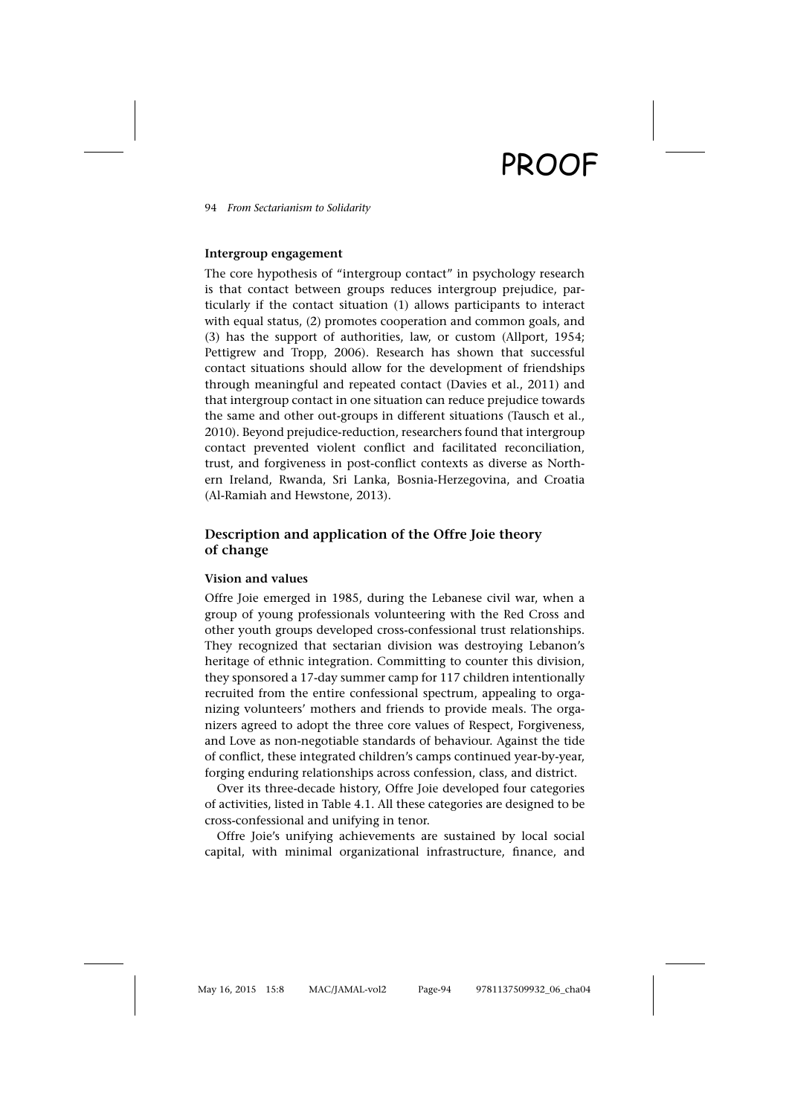#### 94 *From Sectarianism to Solidarity*

#### **Intergroup engagement**

The core hypothesis of "intergroup contact" in psychology research is that contact between groups reduces intergroup prejudice, particularly if the contact situation (1) allows participants to interact with equal status, (2) promotes cooperation and common goals, and (3) has the support of authorities, law, or custom (Allport, 1954; Pettigrew and Tropp, 2006). Research has shown that successful contact situations should allow for the development of friendships through meaningful and repeated contact (Davies et al., 2011) and that intergroup contact in one situation can reduce prejudice towards the same and other out-groups in different situations (Tausch et al., 2010). Beyond prejudice-reduction, researchers found that intergroup contact prevented violent conflict and facilitated reconciliation, trust, and forgiveness in post-conflict contexts as diverse as Northern Ireland, Rwanda, Sri Lanka, Bosnia-Herzegovina, and Croatia (Al-Ramiah and Hewstone, 2013).

### **Description and application of the Offre Joie theory of change**

### **Vision and values**

Offre Joie emerged in 1985, during the Lebanese civil war, when a group of young professionals volunteering with the Red Cross and other youth groups developed cross-confessional trust relationships. They recognized that sectarian division was destroying Lebanon's heritage of ethnic integration. Committing to counter this division, they sponsored a 17-day summer camp for 117 children intentionally recruited from the entire confessional spectrum, appealing to organizing volunteers' mothers and friends to provide meals. The organizers agreed to adopt the three core values of Respect, Forgiveness, and Love as non-negotiable standards of behaviour. Against the tide of conflict, these integrated children's camps continued year-by-year, forging enduring relationships across confession, class, and district.

Over its three-decade history, Offre Joie developed four categories of activities, listed in Table 4.1. All these categories are designed to be cross-confessional and unifying in tenor.

Offre Joie's unifying achievements are sustained by local social capital, with minimal organizational infrastructure, finance, and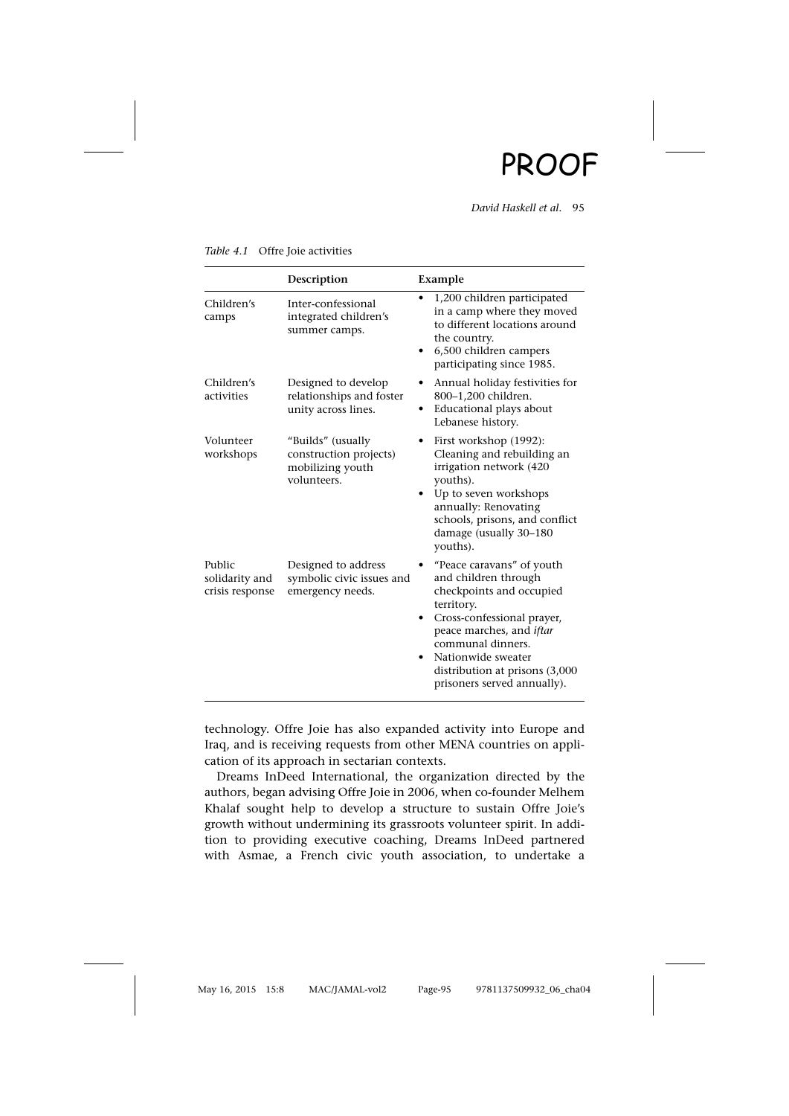*David Haskell et al.* 95

|                                             | Description                                                                    | Example                                                                                                                                                                                                                                                           |
|---------------------------------------------|--------------------------------------------------------------------------------|-------------------------------------------------------------------------------------------------------------------------------------------------------------------------------------------------------------------------------------------------------------------|
| Children's<br>camps                         | Inter-confessional<br>integrated children's<br>summer camps.                   | 1,200 children participated<br>in a camp where they moved<br>to different locations around<br>the country.<br>6,500 children campers<br>٠<br>participating since 1985.                                                                                            |
| Children's<br>activities                    | Designed to develop<br>relationships and foster<br>unity across lines.         | Annual holiday festivities for<br>800-1,200 children.<br>Educational plays about<br>٠<br>Lebanese history.                                                                                                                                                        |
| Volunteer<br>workshops                      | "Builds" (usually<br>construction projects)<br>mobilizing youth<br>volunteers. | First workshop (1992):<br>Cleaning and rebuilding an<br>irrigation network (420<br>youths).<br>Up to seven workshops<br>annually: Renovating<br>schools, prisons, and conflict<br>damage (usually 30-180<br>youths).                                              |
| Public<br>solidarity and<br>crisis response | Designed to address<br>symbolic civic issues and<br>emergency needs.           | "Peace caravans" of youth<br>and children through<br>checkpoints and occupied<br>territory.<br>Cross-confessional prayer,<br>peace marches, and iftar<br>communal dinners.<br>Nationwide sweater<br>distribution at prisons (3,000<br>prisoners served annually). |

#### *Table 4.1* Offre Joie activities

technology. Offre Joie has also expanded activity into Europe and Iraq, and is receiving requests from other MENA countries on application of its approach in sectarian contexts.

Dreams InDeed International, the organization directed by the authors, began advising Offre Joie in 2006, when co-founder Melhem Khalaf sought help to develop a structure to sustain Offre Joie's growth without undermining its grassroots volunteer spirit. In addition to providing executive coaching, Dreams InDeed partnered with Asmae, a French civic youth association, to undertake a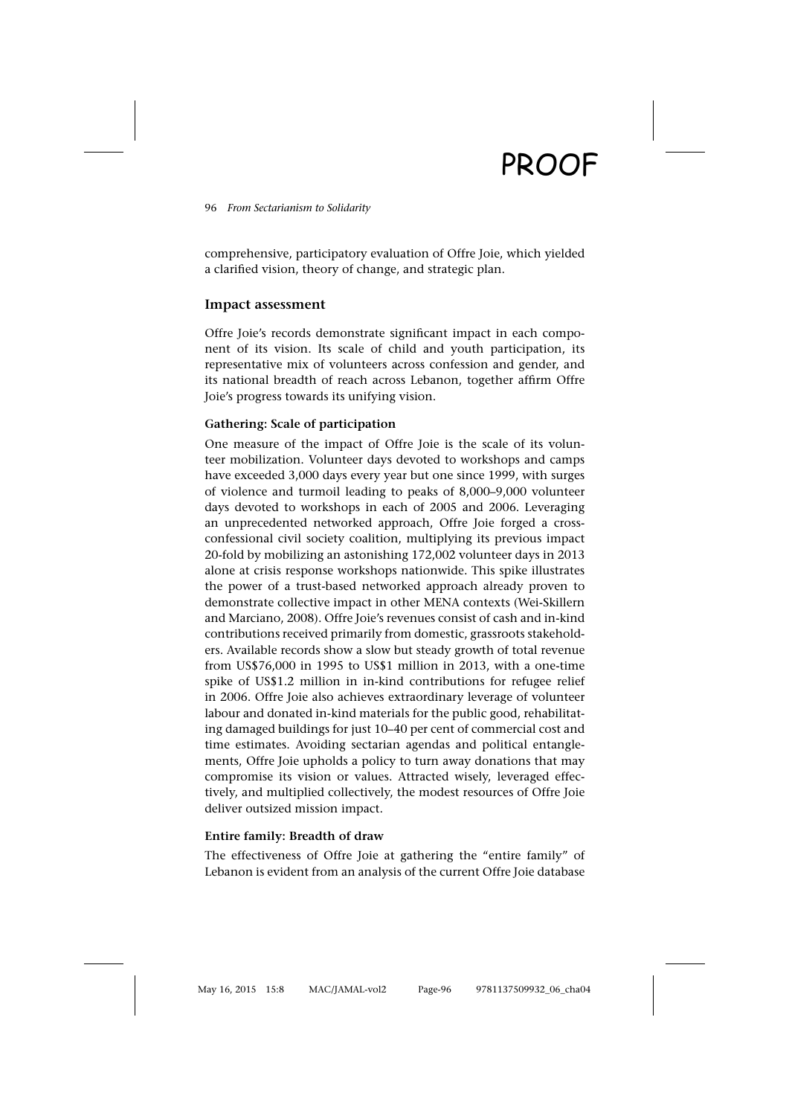#### 96 *From Sectarianism to Solidarity*

comprehensive, participatory evaluation of Offre Joie, which yielded a clarified vision, theory of change, and strategic plan.

#### **Impact assessment**

Offre Joie's records demonstrate significant impact in each component of its vision. Its scale of child and youth participation, its representative mix of volunteers across confession and gender, and its national breadth of reach across Lebanon, together affirm Offre Joie's progress towards its unifying vision.

#### **Gathering: Scale of participation**

One measure of the impact of Offre Joie is the scale of its volunteer mobilization. Volunteer days devoted to workshops and camps have exceeded 3,000 days every year but one since 1999, with surges of violence and turmoil leading to peaks of 8,000–9,000 volunteer days devoted to workshops in each of 2005 and 2006. Leveraging an unprecedented networked approach, Offre Joie forged a crossconfessional civil society coalition, multiplying its previous impact 20-fold by mobilizing an astonishing 172,002 volunteer days in 2013 alone at crisis response workshops nationwide. This spike illustrates the power of a trust-based networked approach already proven to demonstrate collective impact in other MENA contexts (Wei-Skillern and Marciano, 2008). Offre Joie's revenues consist of cash and in-kind contributions received primarily from domestic, grassroots stakeholders. Available records show a slow but steady growth of total revenue from US\$76,000 in 1995 to US\$1 million in 2013, with a one-time spike of US\$1.2 million in in-kind contributions for refugee relief in 2006. Offre Joie also achieves extraordinary leverage of volunteer labour and donated in-kind materials for the public good, rehabilitating damaged buildings for just 10–40 per cent of commercial cost and time estimates. Avoiding sectarian agendas and political entanglements, Offre Joie upholds a policy to turn away donations that may compromise its vision or values. Attracted wisely, leveraged effectively, and multiplied collectively, the modest resources of Offre Joie deliver outsized mission impact.

#### **Entire family: Breadth of draw**

The effectiveness of Offre Joie at gathering the "entire family" of Lebanon is evident from an analysis of the current Offre Joie database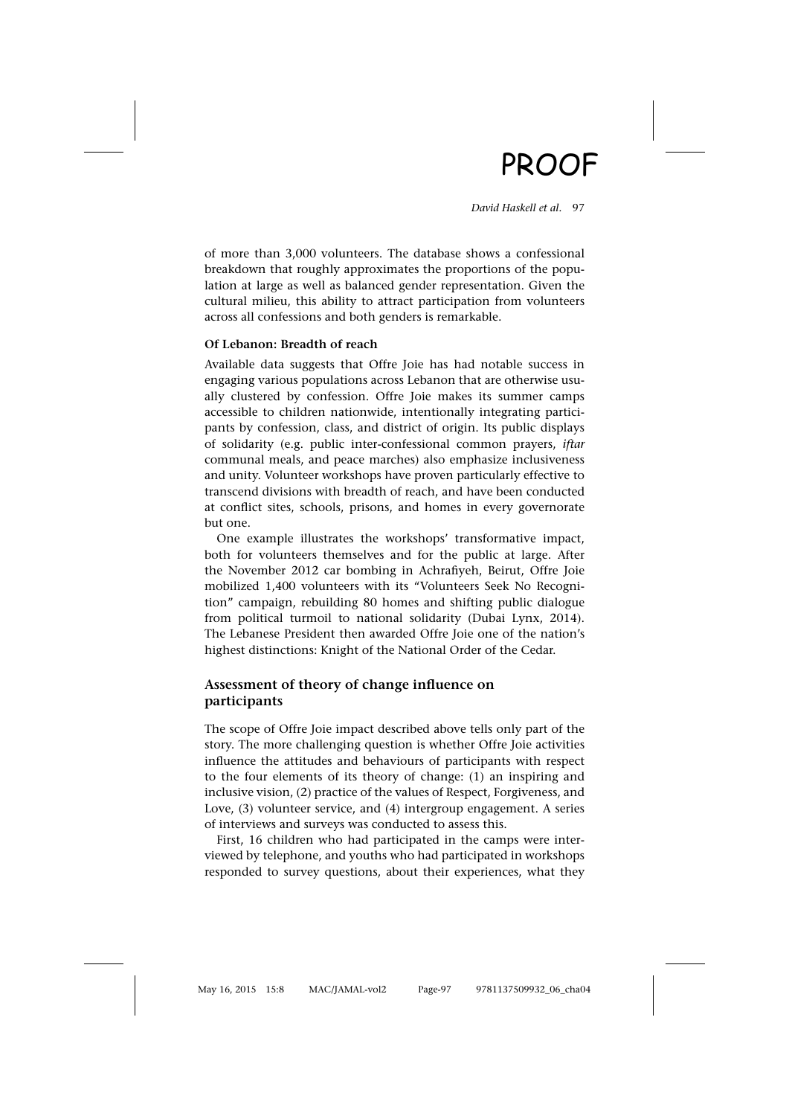*David Haskell et al.* 97

of more than 3,000 volunteers. The database shows a confessional breakdown that roughly approximates the proportions of the population at large as well as balanced gender representation. Given the cultural milieu, this ability to attract participation from volunteers across all confessions and both genders is remarkable.

#### **Of Lebanon: Breadth of reach**

Available data suggests that Offre Joie has had notable success in engaging various populations across Lebanon that are otherwise usually clustered by confession. Offre Joie makes its summer camps accessible to children nationwide, intentionally integrating participants by confession, class, and district of origin. Its public displays of solidarity (e.g. public inter-confessional common prayers, *iftar* communal meals, and peace marches) also emphasize inclusiveness and unity. Volunteer workshops have proven particularly effective to transcend divisions with breadth of reach, and have been conducted at conflict sites, schools, prisons, and homes in every governorate but one.

One example illustrates the workshops' transformative impact, both for volunteers themselves and for the public at large. After the November 2012 car bombing in Achrafiyeh, Beirut, Offre Joie mobilized 1,400 volunteers with its "Volunteers Seek No Recognition" campaign, rebuilding 80 homes and shifting public dialogue from political turmoil to national solidarity (Dubai Lynx, 2014). The Lebanese President then awarded Offre Joie one of the nation's highest distinctions: Knight of the National Order of the Cedar.

### **Assessment of theory of change influence on participants**

The scope of Offre Joie impact described above tells only part of the story. The more challenging question is whether Offre Joie activities influence the attitudes and behaviours of participants with respect to the four elements of its theory of change: (1) an inspiring and inclusive vision, (2) practice of the values of Respect, Forgiveness, and Love, (3) volunteer service, and (4) intergroup engagement. A series of interviews and surveys was conducted to assess this.

First, 16 children who had participated in the camps were interviewed by telephone, and youths who had participated in workshops responded to survey questions, about their experiences, what they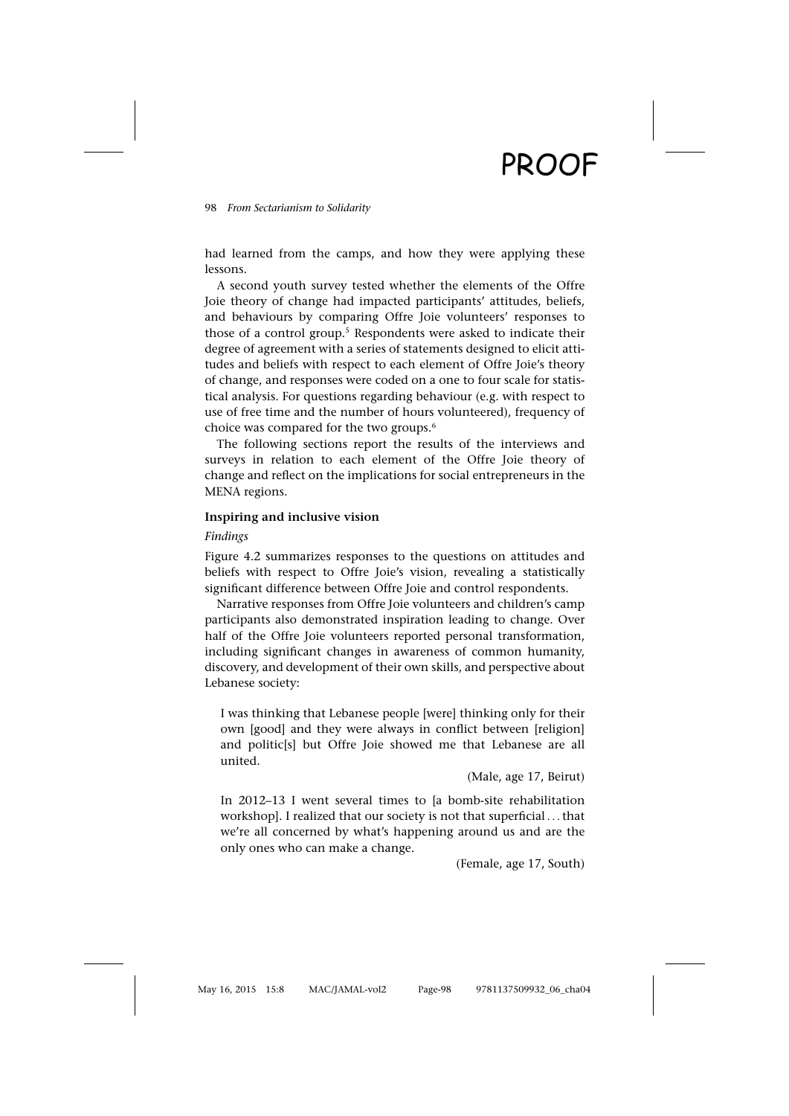#### 98 *From Sectarianism to Solidarity*

had learned from the camps, and how they were applying these lessons.

A second youth survey tested whether the elements of the Offre Joie theory of change had impacted participants' attitudes, beliefs, and behaviours by comparing Offre Joie volunteers' responses to those of a control group.<sup>5</sup> Respondents were asked to indicate their degree of agreement with a series of statements designed to elicit attitudes and beliefs with respect to each element of Offre Joie's theory of change, and responses were coded on a one to four scale for statistical analysis. For questions regarding behaviour (e.g. with respect to use of free time and the number of hours volunteered), frequency of choice was compared for the two groups.6

The following sections report the results of the interviews and surveys in relation to each element of the Offre Joie theory of change and reflect on the implications for social entrepreneurs in the MENA regions.

#### **Inspiring and inclusive vision**

#### *Findings*

Figure 4.2 summarizes responses to the questions on attitudes and beliefs with respect to Offre Joie's vision, revealing a statistically significant difference between Offre Joie and control respondents.

Narrative responses from Offre Joie volunteers and children's camp participants also demonstrated inspiration leading to change. Over half of the Offre Joie volunteers reported personal transformation, including significant changes in awareness of common humanity, discovery, and development of their own skills, and perspective about Lebanese society:

I was thinking that Lebanese people [were] thinking only for their own [good] and they were always in conflict between [religion] and politic[s] but Offre Joie showed me that Lebanese are all united.

(Male, age 17, Beirut)

In 2012–13 I went several times to [a bomb-site rehabilitation workshop]. I realized that our society is not that superficial *...*that we're all concerned by what's happening around us and are the only ones who can make a change.

(Female, age 17, South)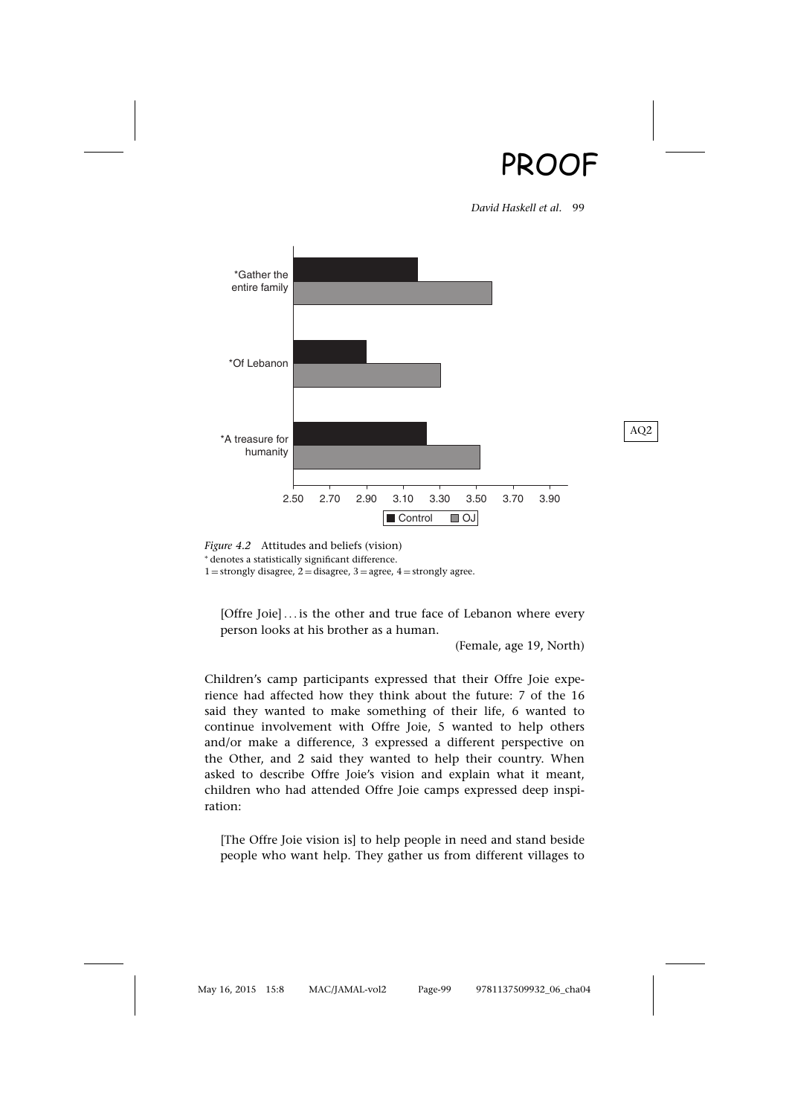*David Haskell et al.* 99



*Figure 4.2* Attitudes and beliefs (vision)

∗ denotes a statistically significant difference.

 $1 =$ strongly disagree,  $2 =$ disagree,  $3 =$ agree,  $4 =$ strongly agree.

[Offre Joie]*...* is the other and true face of Lebanon where every person looks at his brother as a human.

(Female, age 19, North)

Children's camp participants expressed that their Offre Joie experience had affected how they think about the future: 7 of the 16 said they wanted to make something of their life, 6 wanted to continue involvement with Offre Joie, 5 wanted to help others and/or make a difference, 3 expressed a different perspective on the Other, and 2 said they wanted to help their country. When asked to describe Offre Joie's vision and explain what it meant, children who had attended Offre Joie camps expressed deep inspiration:

[The Offre Joie vision is] to help people in need and stand beside people who want help. They gather us from different villages to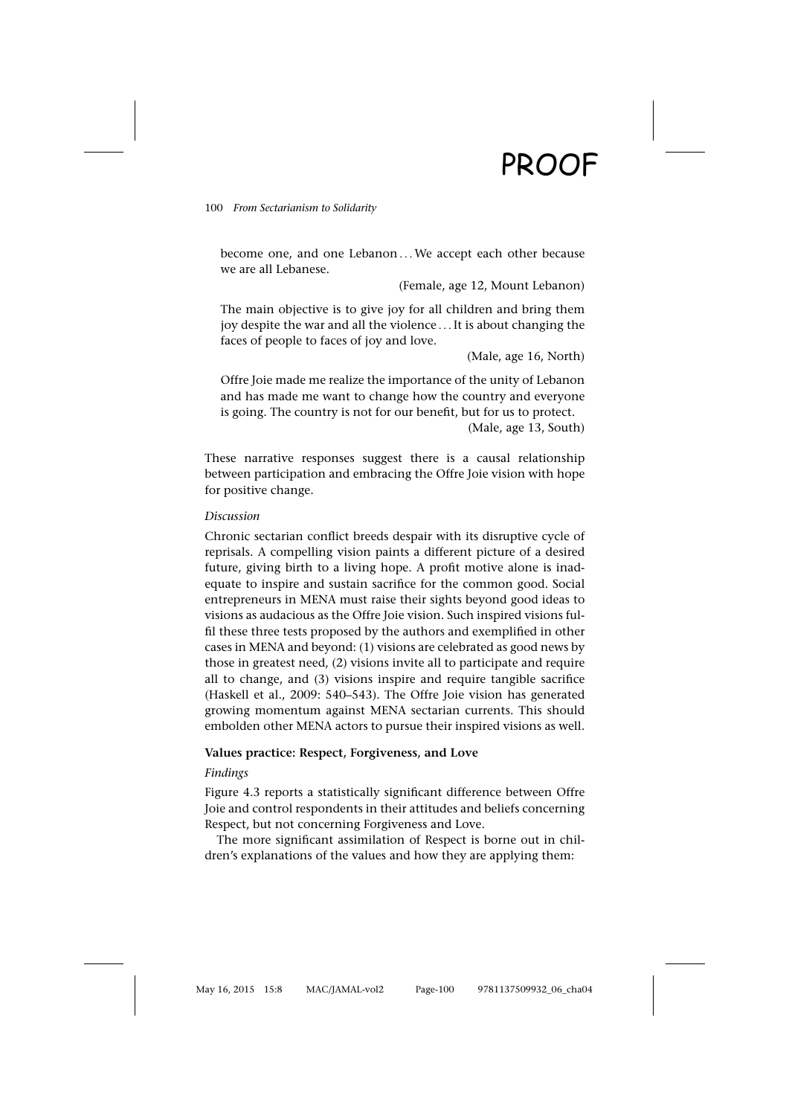#### 100 *From Sectarianism to Solidarity*

become one, and one Lebanon *...*We accept each other because we are all Lebanese.

(Female, age 12, Mount Lebanon)

The main objective is to give joy for all children and bring them joy despite the war and all the violence *...*It is about changing the faces of people to faces of joy and love.

(Male, age 16, North)

Offre Joie made me realize the importance of the unity of Lebanon and has made me want to change how the country and everyone is going. The country is not for our benefit, but for us to protect.

(Male, age 13, South)

These narrative responses suggest there is a causal relationship between participation and embracing the Offre Joie vision with hope for positive change.

#### *Discussion*

Chronic sectarian conflict breeds despair with its disruptive cycle of reprisals. A compelling vision paints a different picture of a desired future, giving birth to a living hope. A profit motive alone is inadequate to inspire and sustain sacrifice for the common good. Social entrepreneurs in MENA must raise their sights beyond good ideas to visions as audacious as the Offre Joie vision. Such inspired visions fulfil these three tests proposed by the authors and exemplified in other cases in MENA and beyond: (1) visions are celebrated as good news by those in greatest need, (2) visions invite all to participate and require all to change, and (3) visions inspire and require tangible sacrifice (Haskell et al., 2009: 540–543). The Offre Joie vision has generated growing momentum against MENA sectarian currents. This should embolden other MENA actors to pursue their inspired visions as well.

#### **Values practice: Respect, Forgiveness, and Love**

#### *Findings*

Figure 4.3 reports a statistically significant difference between Offre Joie and control respondents in their attitudes and beliefs concerning Respect, but not concerning Forgiveness and Love.

The more significant assimilation of Respect is borne out in children's explanations of the values and how they are applying them: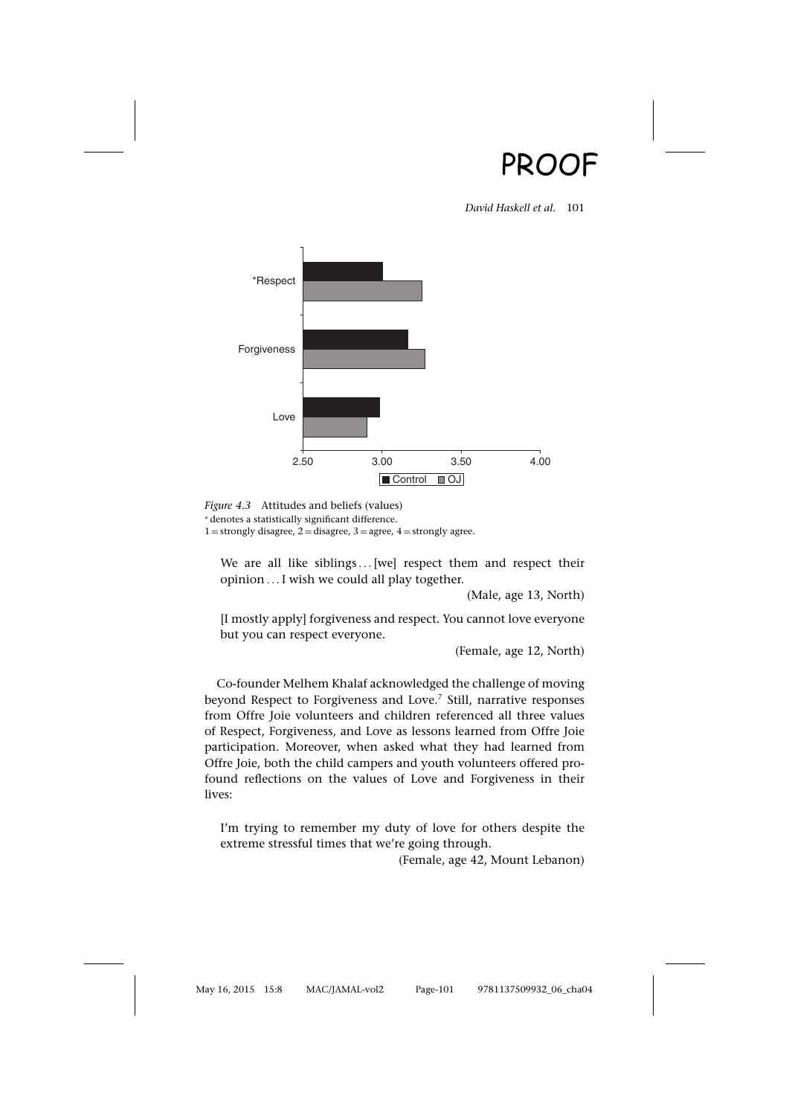*David Haskell et al.* 101



*Figure 4.3* Attitudes and beliefs (values) ∗ denotes a statistically significant difference.

 $1 =$ strongly disagree,  $2 =$ disagree,  $3 =$ agree,  $4 =$ strongly agree.

We are all like siblings *...* [we] respect them and respect their opinion *...*I wish we could all play together.

(Male, age 13, North)

[I mostly apply] forgiveness and respect. You cannot love everyone but you can respect everyone.

(Female, age 12, North)

Co-founder Melhem Khalaf acknowledged the challenge of moving beyond Respect to Forgiveness and Love.<sup>7</sup> Still, narrative responses from Offre Joie volunteers and children referenced all three values of Respect, Forgiveness, and Love as lessons learned from Offre Joie participation. Moreover, when asked what they had learned from Offre Joie, both the child campers and youth volunteers offered profound reflections on the values of Love and Forgiveness in their lives:

I'm trying to remember my duty of love for others despite the extreme stressful times that we're going through.

(Female, age 42, Mount Lebanon)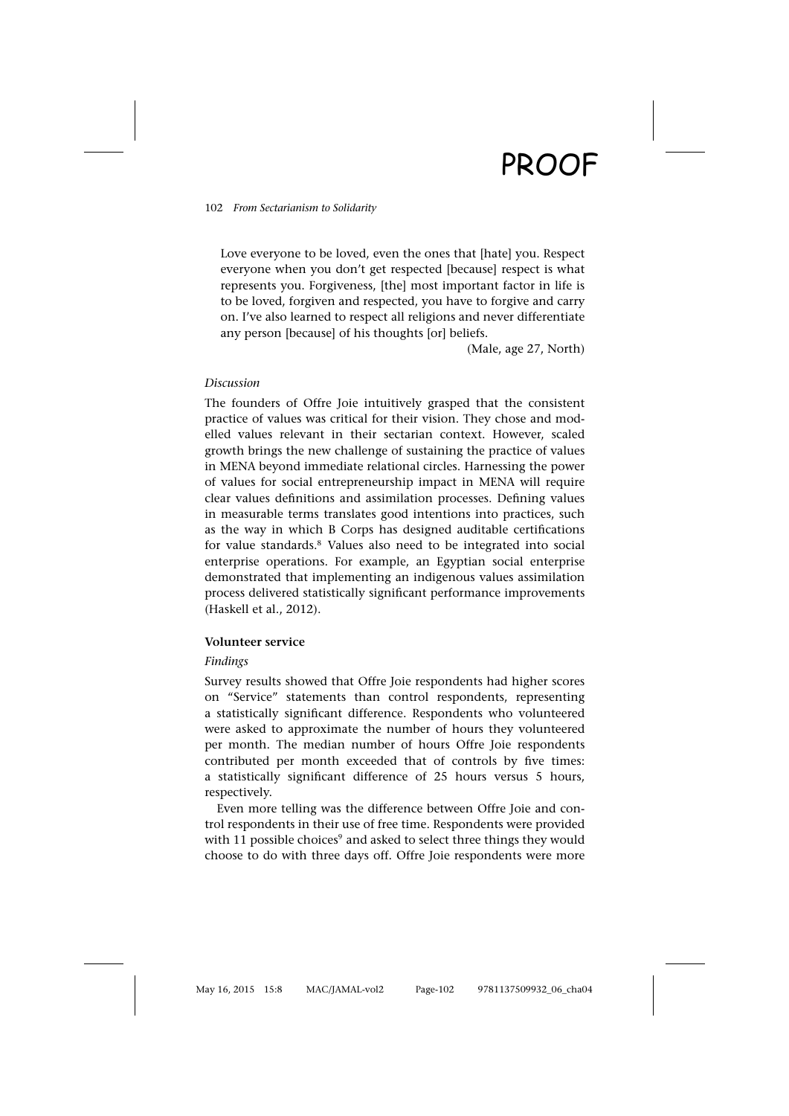#### 102 *From Sectarianism to Solidarity*

Love everyone to be loved, even the ones that [hate] you. Respect everyone when you don't get respected [because] respect is what represents you. Forgiveness, [the] most important factor in life is to be loved, forgiven and respected, you have to forgive and carry on. I've also learned to respect all religions and never differentiate any person [because] of his thoughts [or] beliefs.

(Male, age 27, North)

#### *Discussion*

The founders of Offre Joie intuitively grasped that the consistent practice of values was critical for their vision. They chose and modelled values relevant in their sectarian context. However, scaled growth brings the new challenge of sustaining the practice of values in MENA beyond immediate relational circles. Harnessing the power of values for social entrepreneurship impact in MENA will require clear values definitions and assimilation processes. Defining values in measurable terms translates good intentions into practices, such as the way in which B Corps has designed auditable certifications for value standards.8 Values also need to be integrated into social enterprise operations. For example, an Egyptian social enterprise demonstrated that implementing an indigenous values assimilation process delivered statistically significant performance improvements (Haskell et al., 2012).

#### **Volunteer service**

#### *Findings*

Survey results showed that Offre Joie respondents had higher scores on "Service" statements than control respondents, representing a statistically significant difference. Respondents who volunteered were asked to approximate the number of hours they volunteered per month. The median number of hours Offre Joie respondents contributed per month exceeded that of controls by five times: a statistically significant difference of 25 hours versus 5 hours, respectively.

Even more telling was the difference between Offre Joie and control respondents in their use of free time. Respondents were provided with 11 possible choices<sup>9</sup> and asked to select three things they would choose to do with three days off. Offre Joie respondents were more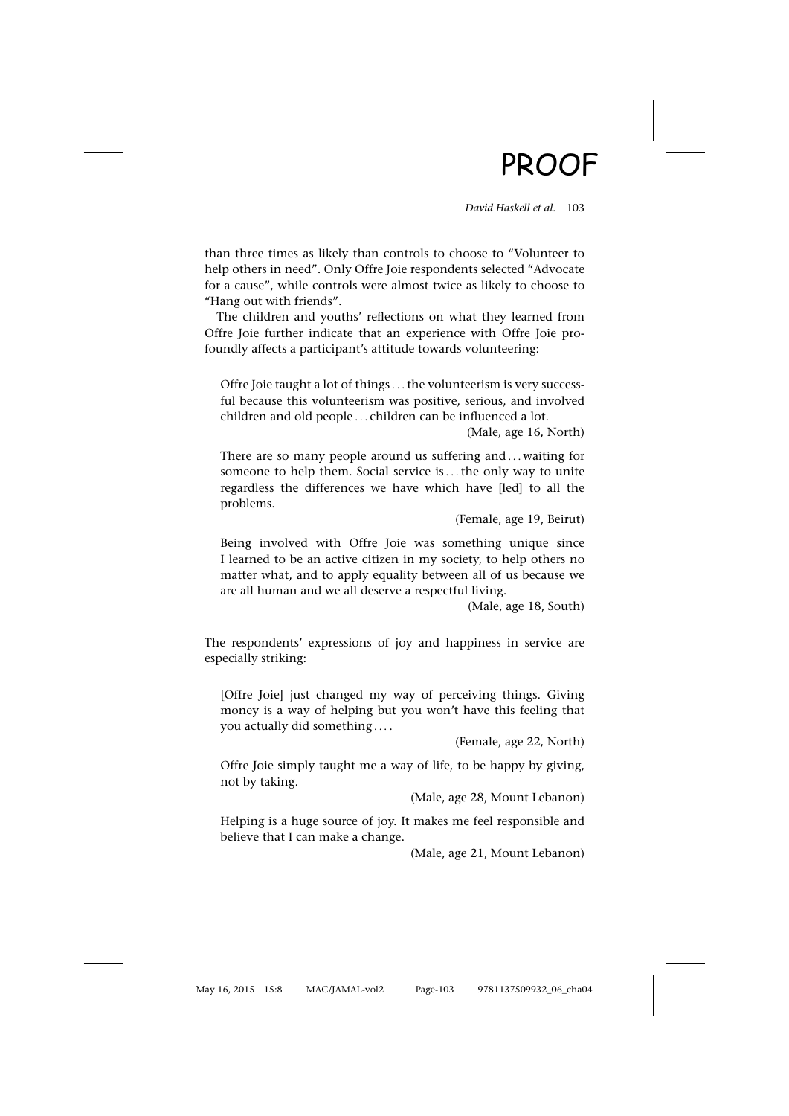*David Haskell et al.* 103

than three times as likely than controls to choose to "Volunteer to help others in need". Only Offre Joie respondents selected "Advocate for a cause", while controls were almost twice as likely to choose to "Hang out with friends".

The children and youths' reflections on what they learned from Offre Joie further indicate that an experience with Offre Joie profoundly affects a participant's attitude towards volunteering:

Offre Joie taught a lot of things *...*the volunteerism is very successful because this volunteerism was positive, serious, and involved children and old people *...* children can be influenced a lot.

(Male, age 16, North)

There are so many people around us suffering and *...* waiting for someone to help them. Social service is *...*the only way to unite regardless the differences we have which have [led] to all the problems.

(Female, age 19, Beirut)

Being involved with Offre Joie was something unique since I learned to be an active citizen in my society, to help others no matter what, and to apply equality between all of us because we are all human and we all deserve a respectful living.

(Male, age 18, South)

The respondents' expressions of joy and happiness in service are especially striking:

[Offre Joie] just changed my way of perceiving things. Giving money is a way of helping but you won't have this feeling that you actually did something *...* .

(Female, age 22, North)

Offre Joie simply taught me a way of life, to be happy by giving, not by taking.

(Male, age 28, Mount Lebanon)

Helping is a huge source of joy. It makes me feel responsible and believe that I can make a change.

(Male, age 21, Mount Lebanon)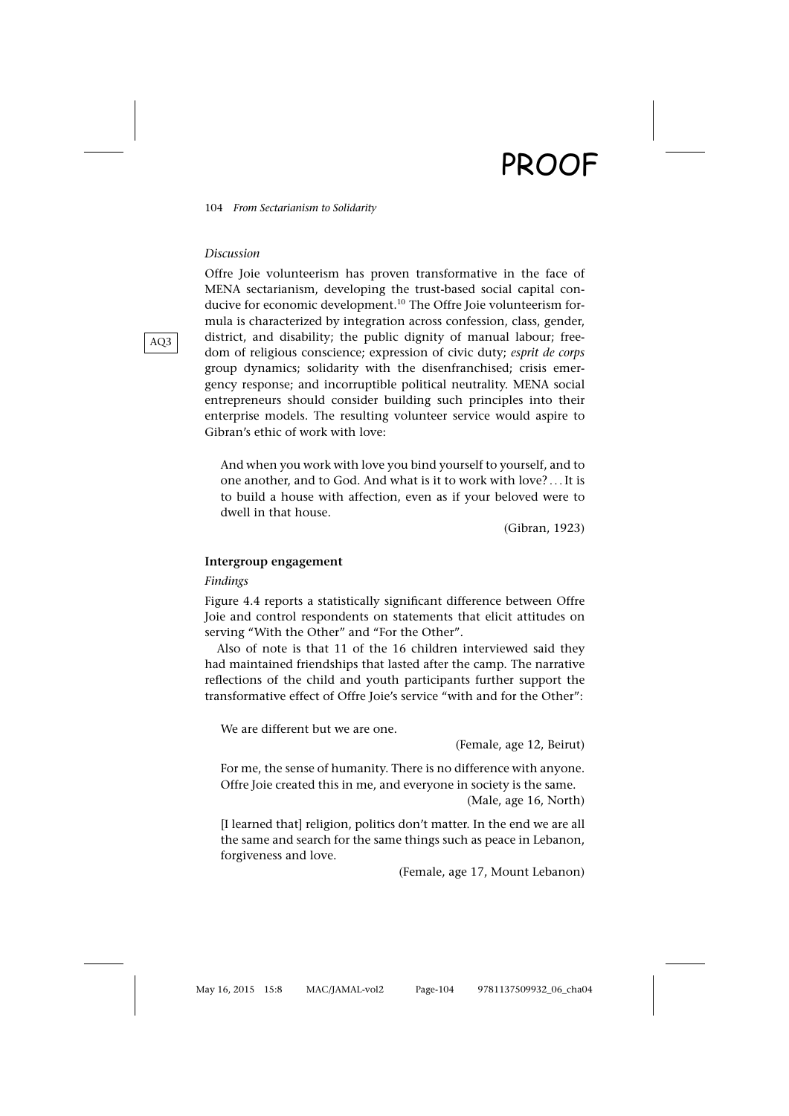#### 104 *From Sectarianism to Solidarity*

### *Discussion*

Offre Joie volunteerism has proven transformative in the face of MENA sectarianism, developing the trust-based social capital conducive for economic development.<sup>10</sup> The Offre Joie volunteerism formula is characterized by integration across confession, class, gender,  $\overline{AQ3}$  district, and disability; the public dignity of manual labour; freedom of religious conscience; expression of civic duty; *esprit de corps* group dynamics; solidarity with the disenfranchised; crisis emergency response; and incorruptible political neutrality. MENA social entrepreneurs should consider building such principles into their enterprise models. The resulting volunteer service would aspire to Gibran's ethic of work with love:

> And when you work with love you bind yourself to yourself, and to one another, and to God. And what is it to work with love? *...*It is to build a house with affection, even as if your beloved were to dwell in that house.

> > (Gibran, 1923)

#### **Intergroup engagement**

### *Findings*

Figure 4.4 reports a statistically significant difference between Offre Joie and control respondents on statements that elicit attitudes on serving "With the Other" and "For the Other".

Also of note is that 11 of the 16 children interviewed said they had maintained friendships that lasted after the camp. The narrative reflections of the child and youth participants further support the transformative effect of Offre Joie's service "with and for the Other":

We are different but we are one.

(Female, age 12, Beirut)

For me, the sense of humanity. There is no difference with anyone. Offre Joie created this in me, and everyone in society is the same.

(Male, age 16, North)

[I learned that] religion, politics don't matter. In the end we are all the same and search for the same things such as peace in Lebanon, forgiveness and love.

(Female, age 17, Mount Lebanon)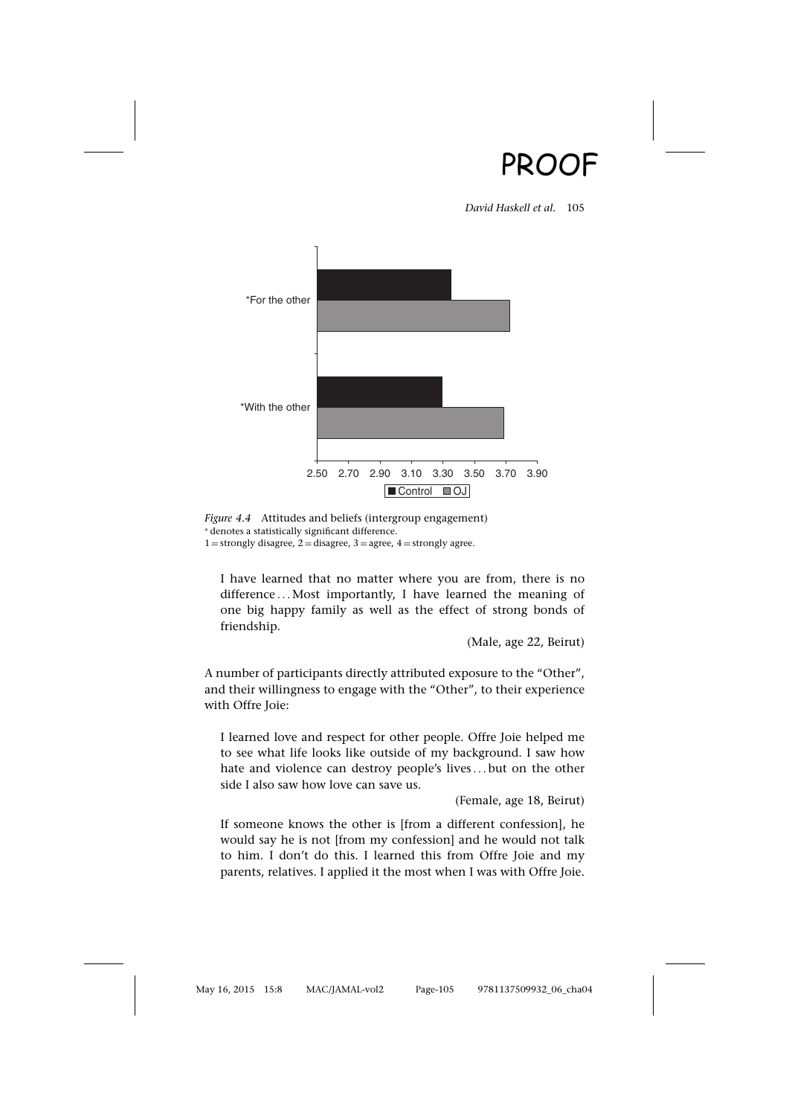*David Haskell et al.* 105



*Figure 4.4* Attitudes and beliefs (intergroup engagement) ∗ denotes a statistically significant difference. 1 = strongly disagree,  $2$  = disagree, 3 = agree, 4 = strongly agree.

I have learned that no matter where you are from, there is no difference *...* Most importantly, I have learned the meaning of one big happy family as well as the effect of strong bonds of friendship.

(Male, age 22, Beirut)

A number of participants directly attributed exposure to the "Other", and their willingness to engage with the "Other", to their experience with Offre Joie:

I learned love and respect for other people. Offre Joie helped me to see what life looks like outside of my background. I saw how hate and violence can destroy people's lives *...* but on the other side I also saw how love can save us.

(Female, age 18, Beirut)

If someone knows the other is [from a different confession], he would say he is not [from my confession] and he would not talk to him. I don't do this. I learned this from Offre Joie and my parents, relatives. I applied it the most when I was with Offre Joie.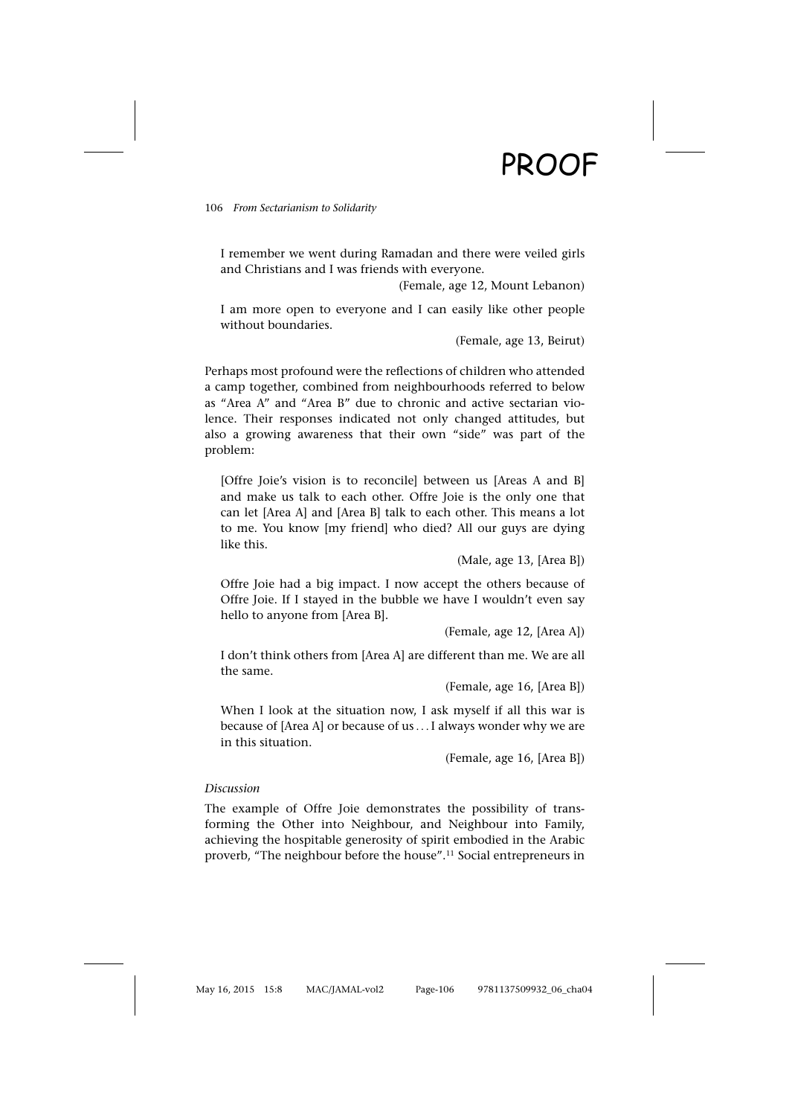106 *From Sectarianism to Solidarity*

I remember we went during Ramadan and there were veiled girls and Christians and I was friends with everyone.

(Female, age 12, Mount Lebanon)

I am more open to everyone and I can easily like other people without boundaries.

(Female, age 13, Beirut)

Perhaps most profound were the reflections of children who attended a camp together, combined from neighbourhoods referred to below as "Area A" and "Area B" due to chronic and active sectarian violence. Their responses indicated not only changed attitudes, but also a growing awareness that their own "side" was part of the problem:

[Offre Joie's vision is to reconcile] between us [Areas A and B] and make us talk to each other. Offre Joie is the only one that can let [Area A] and [Area B] talk to each other. This means a lot to me. You know [my friend] who died? All our guys are dying like this.

(Male, age 13, [Area B])

Offre Joie had a big impact. I now accept the others because of Offre Joie. If I stayed in the bubble we have I wouldn't even say hello to anyone from [Area B].

(Female, age 12, [Area A])

I don't think others from [Area A] are different than me. We are all the same.

(Female, age 16, [Area B])

When I look at the situation now, I ask myself if all this war is because of [Area A] or because of us *...*I always wonder why we are in this situation.

(Female, age 16, [Area B])

### *Discussion*

The example of Offre Joie demonstrates the possibility of transforming the Other into Neighbour, and Neighbour into Family, achieving the hospitable generosity of spirit embodied in the Arabic proverb, "The neighbour before the house".11 Social entrepreneurs in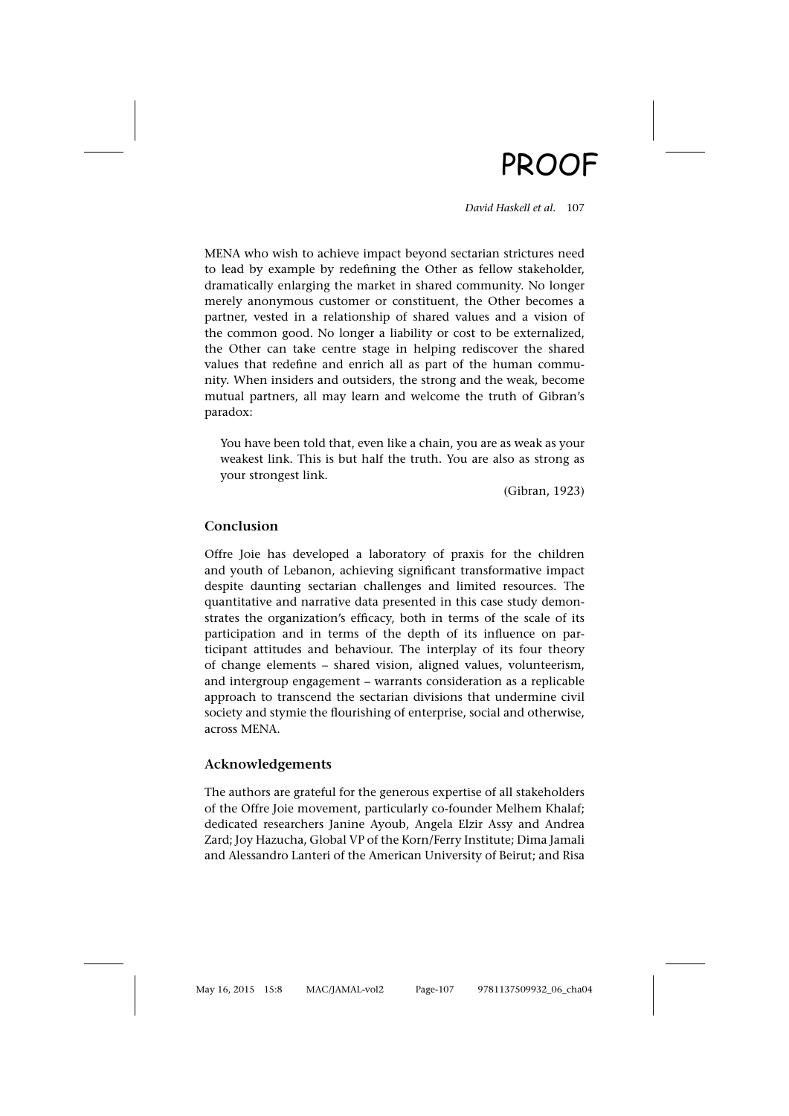*David Haskell et al.* 107

MENA who wish to achieve impact beyond sectarian strictures need to lead by example by redefining the Other as fellow stakeholder, dramatically enlarging the market in shared community. No longer merely anonymous customer or constituent, the Other becomes a partner, vested in a relationship of shared values and a vision of the common good. No longer a liability or cost to be externalized, the Other can take centre stage in helping rediscover the shared values that redefine and enrich all as part of the human community. When insiders and outsiders, the strong and the weak, become mutual partners, all may learn and welcome the truth of Gibran's paradox:

You have been told that, even like a chain, you are as weak as your weakest link. This is but half the truth. You are also as strong as your strongest link.

(Gibran, 1923)

### **Conclusion**

Offre Joie has developed a laboratory of praxis for the children and youth of Lebanon, achieving significant transformative impact despite daunting sectarian challenges and limited resources. The quantitative and narrative data presented in this case study demonstrates the organization's efficacy, both in terms of the scale of its participation and in terms of the depth of its influence on participant attitudes and behaviour. The interplay of its four theory of change elements – shared vision, aligned values, volunteerism, and intergroup engagement – warrants consideration as a replicable approach to transcend the sectarian divisions that undermine civil society and stymie the flourishing of enterprise, social and otherwise, across MENA.

#### **Acknowledgements**

The authors are grateful for the generous expertise of all stakeholders of the Offre Joie movement, particularly co-founder Melhem Khalaf; dedicated researchers Janine Ayoub, Angela Elzir Assy and Andrea Zard; Joy Hazucha, Global VP of the Korn/Ferry Institute; Dima Jamali and Alessandro Lanteri of the American University of Beirut; and Risa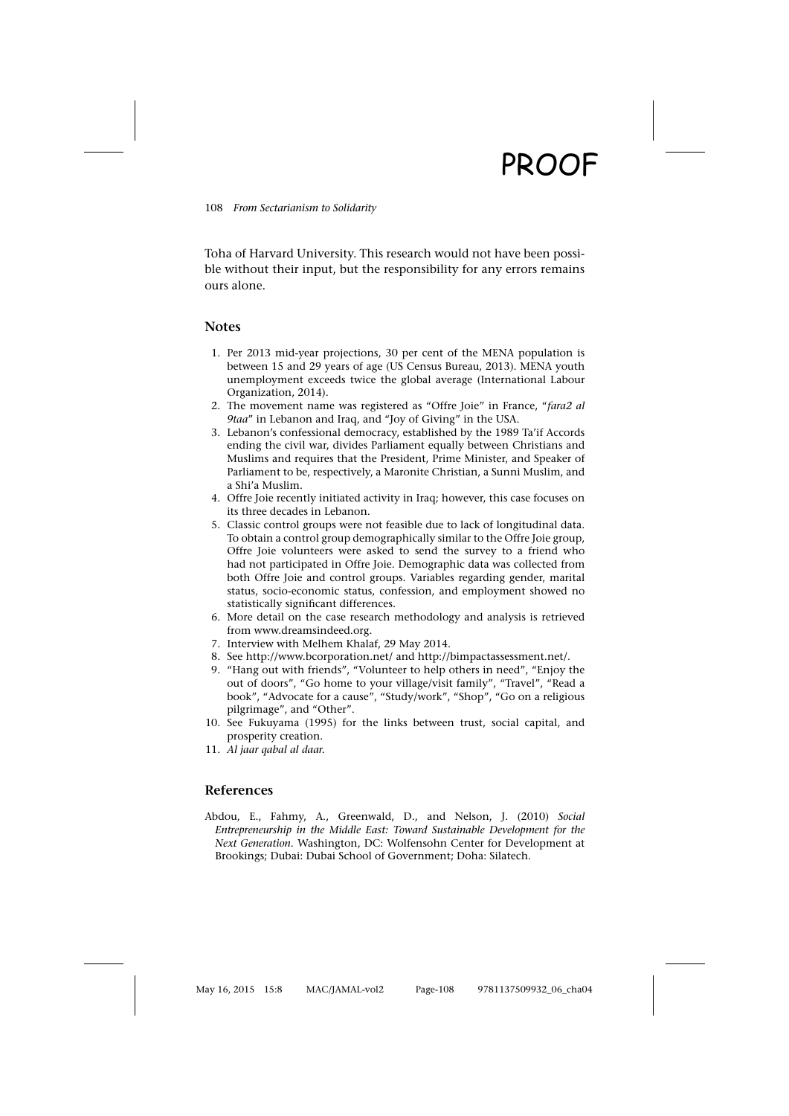#### 108 *From Sectarianism to Solidarity*

Toha of Harvard University. This research would not have been possible without their input, but the responsibility for any errors remains ours alone.

#### **Notes**

- 1. Per 2013 mid-year projections, 30 per cent of the MENA population is between 15 and 29 years of age (US Census Bureau, 2013). MENA youth unemployment exceeds twice the global average (International Labour Organization, 2014).
- 2. The movement name was registered as "Offre Joie" in France, "*fara2 al 9taa*" in Lebanon and Iraq, and "Joy of Giving" in the USA.
- 3. Lebanon's confessional democracy, established by the 1989 Ta'if Accords ending the civil war, divides Parliament equally between Christians and Muslims and requires that the President, Prime Minister, and Speaker of Parliament to be, respectively, a Maronite Christian, a Sunni Muslim, and a Shi'a Muslim.
- 4. Offre Joie recently initiated activity in Iraq; however, this case focuses on its three decades in Lebanon.
- 5. Classic control groups were not feasible due to lack of longitudinal data. To obtain a control group demographically similar to the Offre Joie group, Offre Joie volunteers were asked to send the survey to a friend who had not participated in Offre Joie. Demographic data was collected from both Offre Joie and control groups. Variables regarding gender, marital status, socio-economic status, confession, and employment showed no statistically significant differences.
- 6. More detail on the case research methodology and analysis is retrieved from www.dreamsindeed.org.
- 7. Interview with Melhem Khalaf, 29 May 2014.
- 8. See http://www.bcorporation.net/ and http://bimpactassessment.net/.
- 9. "Hang out with friends", "Volunteer to help others in need", "Enjoy the out of doors", "Go home to your village/visit family", "Travel", "Read a book", "Advocate for a cause", "Study/work", "Shop", "Go on a religious pilgrimage", and "Other".
- 10. See Fukuyama (1995) for the links between trust, social capital, and prosperity creation.
- 11. *Al jaar qabal al daar.*

#### **References**

Abdou, E., Fahmy, A., Greenwald, D., and Nelson, J. (2010) *Social Entrepreneurship in the Middle East: Toward Sustainable Development for the Next Generation*. Washington, DC: Wolfensohn Center for Development at Brookings; Dubai: Dubai School of Government; Doha: Silatech.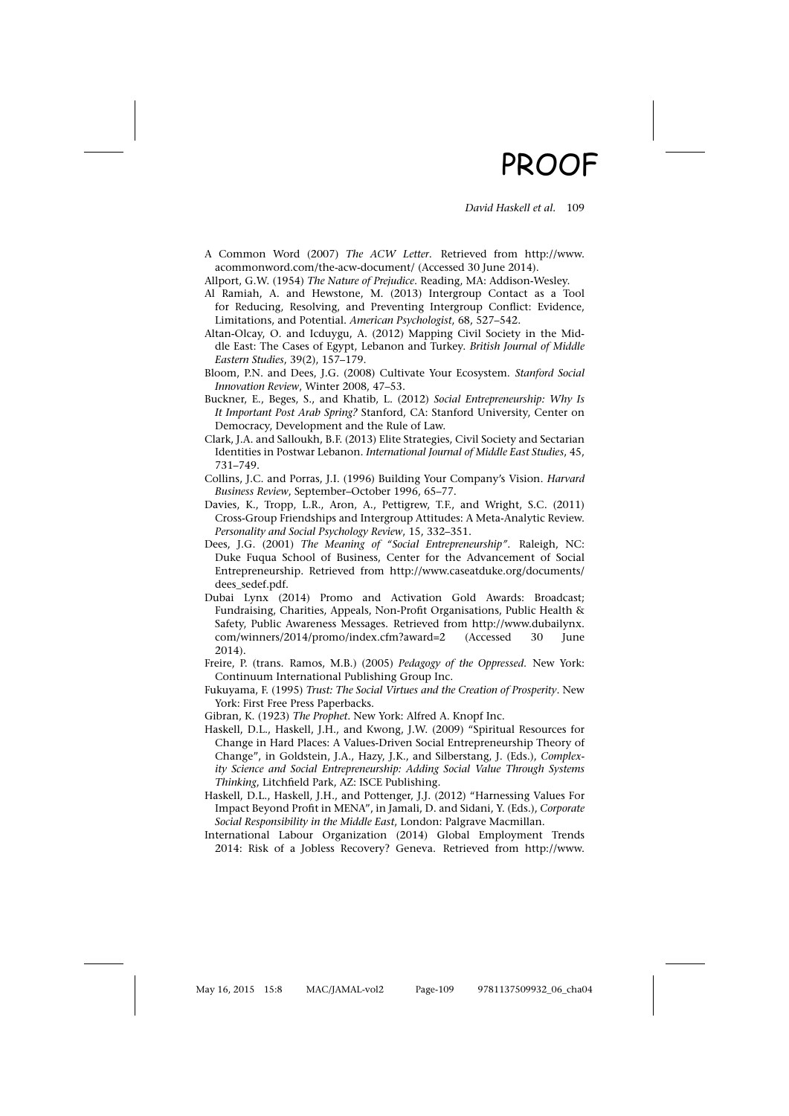*David Haskell et al.* 109

A Common Word (2007) *The ACW Letter*. Retrieved from http://www. acommonword.com/the-acw-document/ (Accessed 30 June 2014).

Allport, G.W. (1954) *The Nature of Prejudice*. Reading, MA: Addison-Wesley.

- Al Ramiah, A. and Hewstone, M. (2013) Intergroup Contact as a Tool for Reducing, Resolving, and Preventing Intergroup Conflict: Evidence, Limitations, and Potential. *American Psychologist*, 68, 527–542.
- Altan-Olcay, O. and Icduygu, A. (2012) Mapping Civil Society in the Middle East: The Cases of Egypt, Lebanon and Turkey. *British Journal of Middle Eastern Studies*, 39(2), 157–179.
- Bloom, P.N. and Dees, J.G. (2008) Cultivate Your Ecosystem. *Stanford Social Innovation Review*, Winter 2008, 47–53.
- Buckner, E., Beges, S., and Khatib, L. (2012) *Social Entrepreneurship: Why Is It Important Post Arab Spring?* Stanford, CA: Stanford University, Center on Democracy, Development and the Rule of Law.
- Clark, J.A. and Salloukh, B.F. (2013) Elite Strategies, Civil Society and Sectarian Identities in Postwar Lebanon. *International Journal of Middle East Studies*, 45, 731–749.
- Collins, J.C. and Porras, J.I. (1996) Building Your Company's Vision. *Harvard Business Review*, September–October 1996, 65–77.
- Davies, K., Tropp, L.R., Aron, A., Pettigrew, T.F., and Wright, S.C. (2011) Cross-Group Friendships and Intergroup Attitudes: A Meta-Analytic Review. *Personality and Social Psychology Review*, 15, 332–351.
- Dees, J.G. (2001) *The Meaning of "Social Entrepreneurship"*. Raleigh, NC: Duke Fuqua School of Business, Center for the Advancement of Social Entrepreneurship. Retrieved from http://www.caseatduke.org/documents/ dees\_sedef.pdf.
- Dubai Lynx (2014) Promo and Activation Gold Awards: Broadcast; Fundraising, Charities, Appeals, Non-Profit Organisations, Public Health & Safety, Public Awareness Messages. Retrieved from http://www.dubailynx. com/winners/2014/promo/index.cfm?award=2 (Accessed 30 June 2014).
- Freire, P. (trans. Ramos, M.B.) (2005) *Pedagogy of the Oppressed*. New York: Continuum International Publishing Group Inc.
- Fukuyama, F. (1995) *Trust: The Social Virtues and the Creation of Prosperity*. New York: First Free Press Paperbacks.
- Gibran, K. (1923) *The Prophet*. New York: Alfred A. Knopf Inc.
- Haskell, D.L., Haskell, J.H., and Kwong, J.W. (2009) "Spiritual Resources for Change in Hard Places: A Values-Driven Social Entrepreneurship Theory of Change", in Goldstein, J.A., Hazy, J.K., and Silberstang, J. (Eds.), *Complexity Science and Social Entrepreneurship: Adding Social Value Through Systems Thinking*, Litchfield Park, AZ: ISCE Publishing.
- Haskell, D.L., Haskell, J.H., and Pottenger, J.J. (2012) "Harnessing Values For Impact Beyond Profit in MENA", in Jamali, D. and Sidani, Y. (Eds.), *Corporate Social Responsibility in the Middle East*, London: Palgrave Macmillan.
- International Labour Organization (2014) Global Employment Trends 2014: Risk of a Jobless Recovery? Geneva. Retrieved from http://www.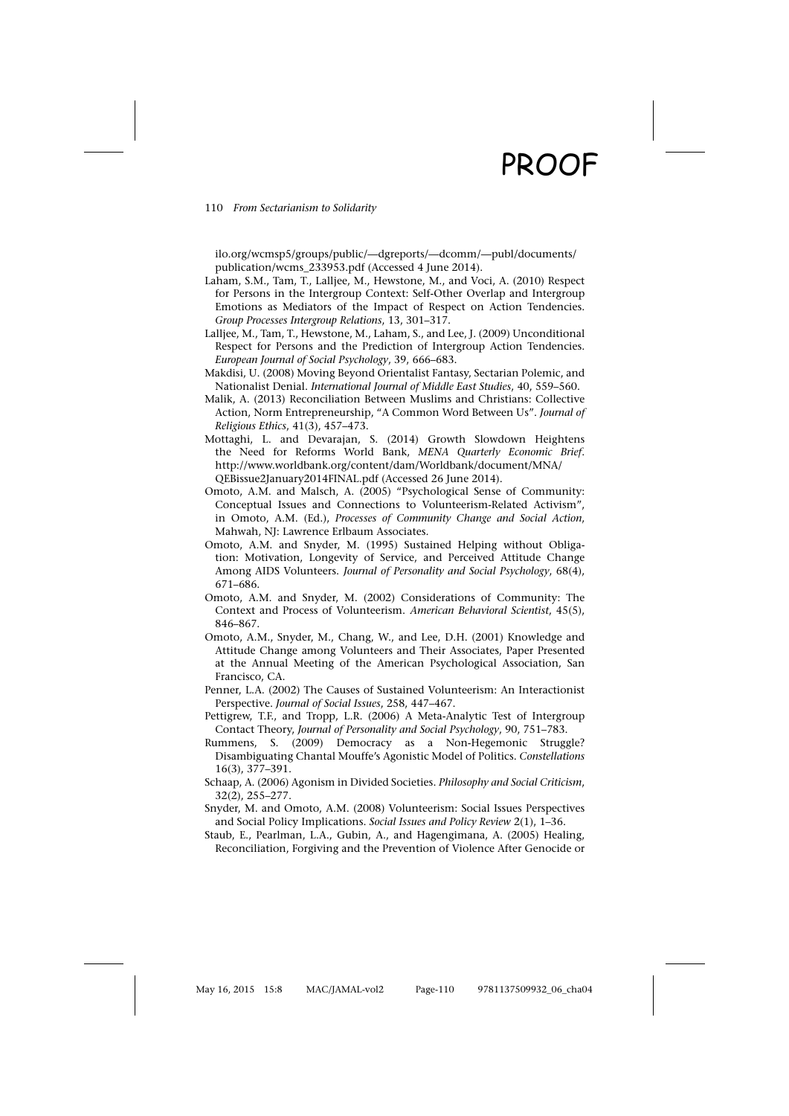#### 110 *From Sectarianism to Solidarity*

ilo.org/wcmsp5/groups/public/—dgreports/—dcomm/—publ/documents/ publication/wcms\_233953.pdf (Accessed 4 June 2014).

- Laham, S.M., Tam, T., Lalljee, M., Hewstone, M., and Voci, A. (2010) Respect for Persons in the Intergroup Context: Self-Other Overlap and Intergroup Emotions as Mediators of the Impact of Respect on Action Tendencies. *Group Processes Intergroup Relations*, 13, 301–317.
- Lalljee, M., Tam, T., Hewstone, M., Laham, S., and Lee, J. (2009) Unconditional Respect for Persons and the Prediction of Intergroup Action Tendencies. *European Journal of Social Psychology*, 39, 666–683.
- Makdisi, U. (2008) Moving Beyond Orientalist Fantasy, Sectarian Polemic, and Nationalist Denial. *International Journal of Middle East Studies*, 40, 559–560.
- Malik, A. (2013) Reconciliation Between Muslims and Christians: Collective Action, Norm Entrepreneurship, "A Common Word Between Us". *Journal of Religious Ethics*, 41(3), 457–473.
- Mottaghi, L. and Devarajan, S. (2014) Growth Slowdown Heightens the Need for Reforms World Bank, *MENA Quarterly Economic Brief*. http://www.worldbank.org/content/dam/Worldbank/document/MNA/ QEBissue2January2014FINAL.pdf (Accessed 26 June 2014).
- Omoto, A.M. and Malsch, A. (2005) "Psychological Sense of Community: Conceptual Issues and Connections to Volunteerism-Related Activism", in Omoto, A.M. (Ed.), *Processes of Community Change and Social Action*, Mahwah, NJ: Lawrence Erlbaum Associates.
- Omoto, A.M. and Snyder, M. (1995) Sustained Helping without Obligation: Motivation, Longevity of Service, and Perceived Attitude Change Among AIDS Volunteers. *Journal of Personality and Social Psychology*, 68(4), 671–686.
- Omoto, A.M. and Snyder, M. (2002) Considerations of Community: The Context and Process of Volunteerism. *American Behavioral Scientist*, 45(5), 846–867.
- Omoto, A.M., Snyder, M., Chang, W., and Lee, D.H. (2001) Knowledge and Attitude Change among Volunteers and Their Associates, Paper Presented at the Annual Meeting of the American Psychological Association, San Francisco, CA.
- Penner, L.A. (2002) The Causes of Sustained Volunteerism: An Interactionist Perspective. *Journal of Social Issues*, 258, 447–467.
- Pettigrew, T.F., and Tropp, L.R. (2006) A Meta-Analytic Test of Intergroup Contact Theory, *Journal of Personality and Social Psychology*, 90, 751–783.
- Rummens, S. (2009) Democracy as a Non-Hegemonic Struggle? Disambiguating Chantal Mouffe's Agonistic Model of Politics. *Constellations* 16(3), 377–391.
- Schaap, A. (2006) Agonism in Divided Societies. *Philosophy and Social Criticism*, 32(2), 255–277.
- Snyder, M. and Omoto, A.M. (2008) Volunteerism: Social Issues Perspectives and Social Policy Implications. *Social Issues and Policy Review* 2(1), 1–36.
- Staub, E., Pearlman, L.A., Gubin, A., and Hagengimana, A. (2005) Healing, Reconciliation, Forgiving and the Prevention of Violence After Genocide or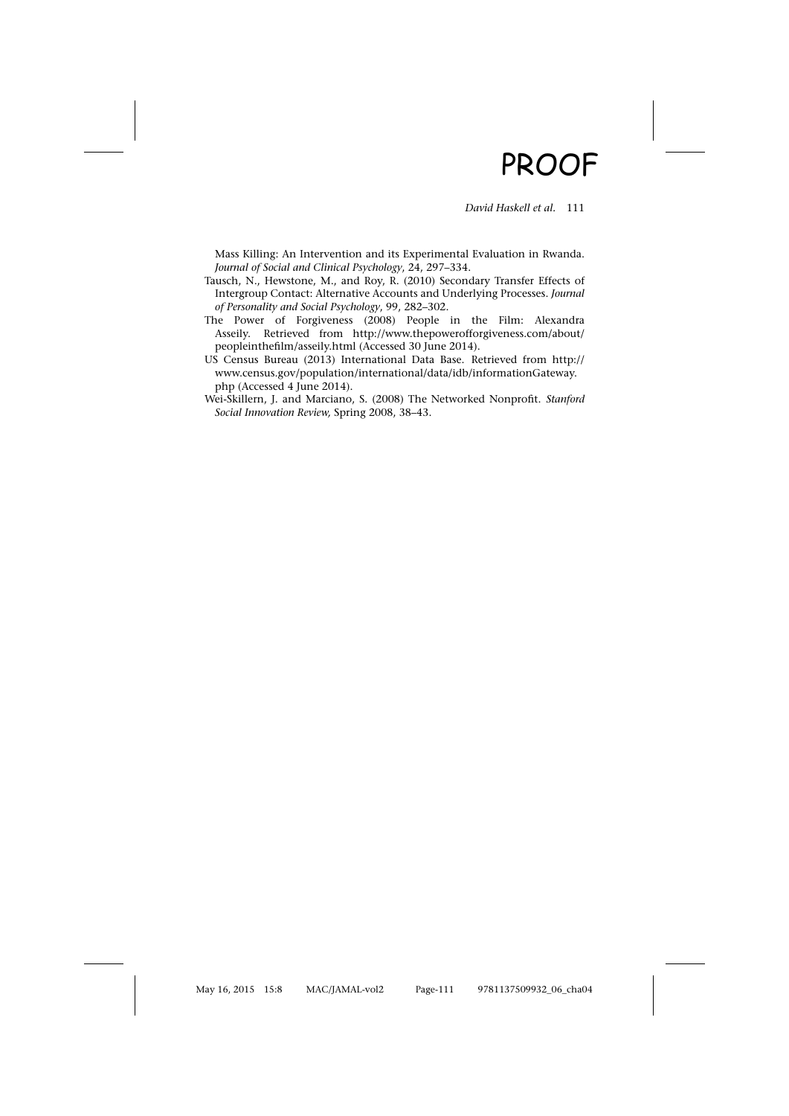*David Haskell et al.* 111

Mass Killing: An Intervention and its Experimental Evaluation in Rwanda. *Journal of Social and Clinical Psychology*, 24, 297–334.

- Tausch, N., Hewstone, M., and Roy, R. (2010) Secondary Transfer Effects of Intergroup Contact: Alternative Accounts and Underlying Processes. *Journal of Personality and Social Psychology*, 99, 282–302.
- The Power of Forgiveness (2008) People in the Film: Alexandra Asseily. Retrieved from http://www.thepowerofforgiveness.com/about/ peopleinthefilm/asseily.html (Accessed 30 June 2014).
- US Census Bureau (2013) International Data Base. Retrieved from http:// www.census.gov/population/international/data/idb/informationGateway. php (Accessed 4 June 2014).

Wei-Skillern, J. and Marciano, S. (2008) The Networked Nonprofit. *Stanford Social Innovation Review,* Spring 2008, 38–43.